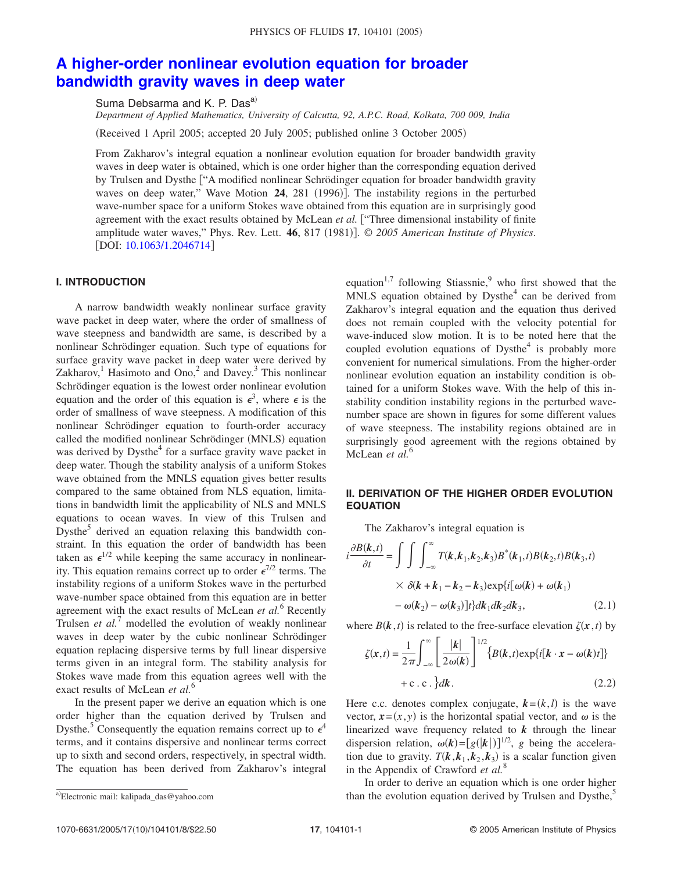# **A higher-order nonlinear evolution equation for broader bandwidth gravity waves in deep water**

Suma Debsarma and K. P. Dasa)

*Department of Applied Mathematics, University of Calcutta, 92, A.P.C. Road, Kolkata, 700 009, India*

Received 1 April 2005; accepted 20 July 2005; published online 3 October 2005-

From Zakharov's integral equation a nonlinear evolution equation for broader bandwidth gravity waves in deep water is obtained, which is one order higher than the corresponding equation derived by Trulsen and Dysthe "A modified nonlinear Schrödinger equation for broader bandwidth gravity waves on deep water," Wave Motion 24, 281 (1996)]. The instability regions in the perturbed wave-number space for a uniform Stokes wave obtained from this equation are in surprisingly good agreement with the exact results obtained by McLean *et al.* "Three dimensional instability of finite amplitude water waves," Phys. Rev. Lett. 46, 817 (1981)]. © 2005 American Institute of Physics. [DOI: 10.1063/1.2046714]

# **I. INTRODUCTION**

A narrow bandwidth weakly nonlinear surface gravity wave packet in deep water, where the order of smallness of wave steepness and bandwidth are same, is described by a nonlinear Schrödinger equation. Such type of equations for surface gravity wave packet in deep water were derived by Zakharov,<sup>1</sup> Hasimoto and Ono,<sup>2</sup> and Davey.<sup>3</sup> This nonlinear Schrödinger equation is the lowest order nonlinear evolution equation and the order of this equation is  $\epsilon^3$ , where  $\epsilon$  is the order of smallness of wave steepness. A modification of this nonlinear Schrödinger equation to fourth-order accuracy called the modified nonlinear Schrödinger (MNLS) equation was derived by Dysthe<sup>4</sup> for a surface gravity wave packet in deep water. Though the stability analysis of a uniform Stokes wave obtained from the MNLS equation gives better results compared to the same obtained from NLS equation, limitations in bandwidth limit the applicability of NLS and MNLS equations to ocean waves. In view of this Trulsen and Dysthe<sup>5</sup> derived an equation relaxing this bandwidth constraint. In this equation the order of bandwidth has been taken as  $\epsilon^{1/2}$  while keeping the same accuracy in nonlinearity. This equation remains correct up to order  $\epsilon^{7/2}$  terms. The instability regions of a uniform Stokes wave in the perturbed wave-number space obtained from this equation are in better agreement with the exact results of McLean *et al.*<sup>6</sup> Recently Trulsen *et al.*<sup>7</sup> modelled the evolution of weakly nonlinear waves in deep water by the cubic nonlinear Schrödinger equation replacing dispersive terms by full linear dispersive terms given in an integral form. The stability analysis for Stokes wave made from this equation agrees well with the exact results of McLean *et al.*<sup>6</sup>

In the present paper we derive an equation which is one order higher than the equation derived by Trulsen and Dysthe.<sup>5</sup> Consequently the equation remains correct up to  $\epsilon^4$ terms, and it contains dispersive and nonlinear terms correct up to sixth and second orders, respectively, in spectral width. The equation has been derived from Zakharov's integral

# **II. DERIVATION OF THE HIGHER ORDER EVOLUTION EQUATION**

The Zakharov's integral equation is

$$
i\frac{\partial B(k,t)}{\partial t} = \int \int \int_{-\infty}^{\infty} T(k, k_1, k_2, k_3) B^*(k_1, t) B(k_2, t) B(k_3, t)
$$

$$
\times \delta(k + k_1 - k_2 - k_3) \exp\{i[\omega(k) + \omega(k_1) - \omega(k_2) - \omega(k_3)]t\} dk_1 dk_2 dk_3, \qquad (2.1)
$$

where  $B(k, t)$  is related to the free-surface elevation  $\zeta(x, t)$  by

$$
\zeta(x,t) = \frac{1}{2\pi} \int_{-\infty}^{\infty} \left[ \frac{|k|}{2\omega(k)} \right]^{1/2} \{ B(k,t) \exp\{i[k \cdot x - \omega(k)t] \} + c \cdot c \cdot \} dk.
$$
\n(2.2)

Here c.c. denotes complex conjugate,  $k = (k, l)$  is the wave vector,  $x = (x, y)$  is the horizontal spatial vector, and  $\omega$  is the linearized wave frequency related to *k* through the linear dispersion relation,  $\omega(k) = [g(|k|)]^{1/2}$ , *g* being the acceleration due to gravity.  $T(k, k_1, k_2, k_3)$  is a scalar function given in the Appendix of Crawford *et al.*<sup>8</sup>

In order to derive an equation which is one order higher a)Electronic mail: kalipada\_das@yahoo.com than the evolution equation derived by Trulsen and Dysthe,<sup>5</sup>

equation<sup>1,7</sup> following Stiassnie,<sup>9</sup> who first showed that the  $MNLS$  equation obtained by  $Dysthe<sup>4</sup>$  can be derived from Zakharov's integral equation and the equation thus derived does not remain coupled with the velocity potential for wave-induced slow motion. It is to be noted here that the coupled evolution equations of  $D$ ysthe<sup>4</sup> is probably more convenient for numerical simulations. From the higher-order nonlinear evolution equation an instability condition is obtained for a uniform Stokes wave. With the help of this instability condition instability regions in the perturbed wavenumber space are shown in figures for some different values of wave steepness. The instability regions obtained are in surprisingly good agreement with the regions obtained by McLean *et al.*<sup>6</sup>

a)Electronic mail: kalipada\_das@yahoo.com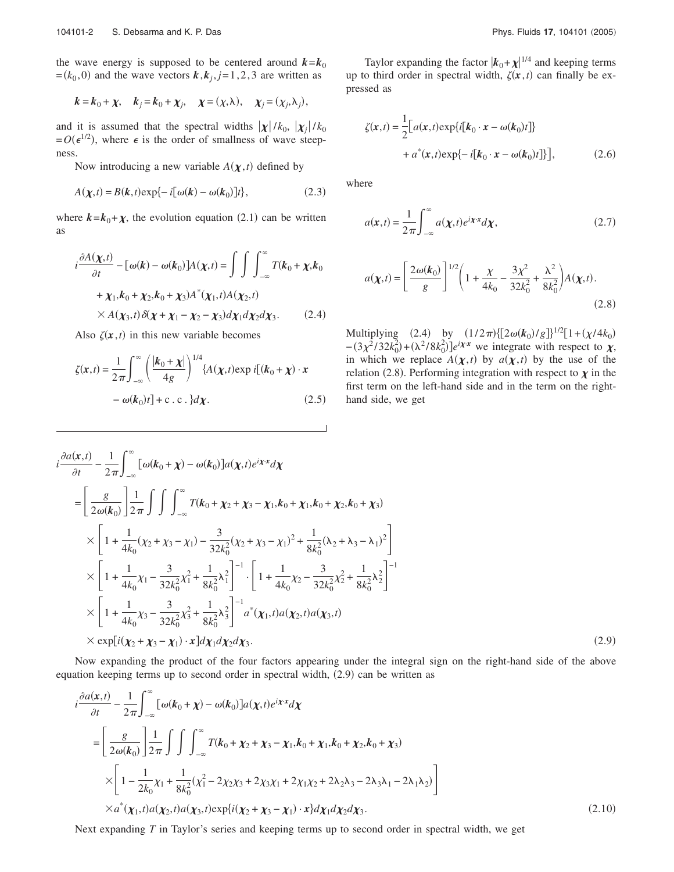the wave energy is supposed to be centered around  $k = k_0$  $=(k_0, 0)$  and the wave vectors  $\boldsymbol{k}$ ,  $\boldsymbol{k}_j$ ,  $j=1, 2, 3$  are written as

$$
k = k_0 + \chi
$$
,  $k_j = k_0 + \chi_j$ ,  $\chi = (\chi, \lambda)$ ,  $\chi_j = (\chi_j, \lambda_j)$ ,

and it is assumed that the spectral widths  $|\chi|/k_0$ ,  $|\chi_j|/k_0$  $= O(\epsilon^{1/2})$ , where  $\epsilon$  is the order of smallness of wave steepness.

Now introducing a new variable  $A(\chi,t)$  defined by

$$
A(\chi, t) = B(k, t) \exp\{-i[\omega(k) - \omega(k_0)]t\},\tag{2.3}
$$

where  $k = k_0 + \chi$ , the evolution equation (2.1) can be written as

$$
i\frac{\partial A(\chi,t)}{\partial t} - [\omega(k) - \omega(k_0)]A(\chi,t) = \int \int \int_{-\infty}^{\infty} T(k_0 + \chi, k_0 + \chi_1, k_0 + \chi_2, k_0 + \chi_3)A^*(\chi_1, t)A(\chi_2, t)
$$
  
 
$$
\times A(\chi_3, t) \delta(\chi + \chi_1 - \chi_2 - \chi_3) d\chi_1 d\chi_2 d\chi_3. \tag{2.4}
$$

Also  $\zeta(x, t)$  in this new variable becomes

$$
\zeta(\mathbf{x},t) = \frac{1}{2\pi} \int_{-\infty}^{\infty} \left( \frac{|\mathbf{k}_0 + \mathbf{\chi}|}{4g} \right)^{1/4} \{ A(\mathbf{\chi},t) \exp i[(\mathbf{k}_0 + \mathbf{\chi}) \cdot \mathbf{x} - \omega(\mathbf{k}_0)t] + \text{c.c.} \} d\mathbf{\chi}.
$$
 (2.5)

 $(2.9)$ 

Taylor expanding the factor  $\vert k_0 + \chi \vert^{1/4}$  and keeping terms up to third order in spectral width,  $\zeta(x, t)$  can finally be expressed as

$$
\zeta(\mathbf{x},t) = \frac{1}{2} \Big[ a(\mathbf{x},t) \exp\{i[k_0 \cdot \mathbf{x} - \omega(k_0)t] \} + a^*(\mathbf{x},t) \exp\{-i[k_0 \cdot \mathbf{x} - \omega(k_0)t] \} \Big],
$$
\n(2.6)

where

$$
a(\mathbf{x},t) = \frac{1}{2\pi} \int_{-\infty}^{\infty} a(\mathbf{\chi},t) e^{i\mathbf{\chi} \cdot \mathbf{x}} d\mathbf{\chi},
$$
 (2.7)

$$
a(\chi, t) = \left[\frac{2\omega(k_0)}{g}\right]^{1/2} \left(1 + \frac{\chi}{4k_0} - \frac{3\chi^2}{32k_0^2} + \frac{\lambda^2}{8k_0^2}\right) A(\chi, t).
$$
\n(2.8)

Multiplying (2.4) by  $(1/2\pi){[2\omega(k_0)/g]}^{1/2}[1+(\chi/4k_0)]$  $-(3\chi^2/32k_0^2) + (\lambda^2/8k_0^2)$ ]*e*<sup>*ix*</sup>× we integrate with respect to  $\chi$ , in which we replace  $A(\chi,t)$  by  $a(\chi,t)$  by the use of the relation (2.8). Performing integration with respect to  $\chi$  in the first term on the left-hand side and in the term on the righthand side, we get

$$
i \frac{\partial a(x,t)}{\partial t} - \frac{1}{2\pi} \int_{-\infty}^{\infty} [\omega(k_0 + \chi) - \omega(k_0)] a(\chi, t) e^{i\chi \cdot x} d\chi
$$
  
\n=
$$
\left[ \frac{g}{2\omega(k_0)} \right] \frac{1}{2\pi} \int \int \int_{-\infty}^{\infty} T(k_0 + \chi_2 + \chi_3 - \chi_1, k_0 + \chi_1, k_0 + \chi_2, k_0 + \chi_3)
$$
  
\n
$$
\times \left[ 1 + \frac{1}{4k_0} (\chi_2 + \chi_3 - \chi_1) - \frac{3}{32k_0^2} (\chi_2 + \chi_3 - \chi_1)^2 + \frac{1}{8k_0^2} (\chi_2 + \chi_3 - \chi_1)^2 \right]
$$
  
\n
$$
\times \left[ 1 + \frac{1}{4k_0} \chi_1 - \frac{3}{32k_0^2} \chi_1^2 + \frac{1}{8k_0^2} \chi_1^2 \right]^{-1} \cdot \left[ 1 + \frac{1}{4k_0} \chi_2 - \frac{3}{32k_0^2} \chi_2^2 + \frac{1}{8k_0^2} \chi_2^2 \right]^{-1}
$$
  
\n
$$
\times \left[ 1 + \frac{1}{4k_0} \chi_3 - \frac{3}{32k_0^2} \chi_3^2 + \frac{1}{8k_0^2} \chi_3^2 \right]^{-1} a^*(\chi_1, t) a(\chi_2, t) a(\chi_3, t)
$$
  
\n
$$
\times \exp[i(\chi_2 + \chi_3 - \chi_1) \cdot \chi] d\chi_1 d\chi_2 d\chi_3.
$$
 (2.9)

Now expanding the product of the four factors appearing under the integral sign on the right-hand side of the above equation keeping terms up to second order in spectral width, (2.9) can be written as

$$
i\frac{\partial a(x,t)}{\partial t} - \frac{1}{2\pi} \int_{-\infty}^{\infty} [\omega(k_0 + \chi) - \omega(k_0)] a(\chi, t) e^{i\chi \cdot x} d\chi
$$
  
\n=
$$
\left[ \frac{g}{2\omega(k_0)} \right] \frac{1}{2\pi} \int \int \int_{-\infty}^{\infty} T(k_0 + \chi_2 + \chi_3 - \chi_1, k_0 + \chi_1, k_0 + \chi_2, k_0 + \chi_3)
$$
  
\n
$$
\times \left[ 1 - \frac{1}{2k_0} \chi_1 + \frac{1}{8k_0^2} (\chi_1^2 - 2\chi_2 \chi_3 + 2\chi_3 \chi_1 + 2\chi_1 \chi_2 + 2\lambda_2 \chi_3 - 2\lambda_3 \chi_1 - 2\lambda_1 \chi_2) \right]
$$
  
\n
$$
\times a^*(\chi_1, t) a(\chi_2, t) a(\chi_3, t) \exp\{i(\chi_2 + \chi_3 - \chi_1) \cdot x\} d\chi_1 d\chi_2 d\chi_3.
$$
 (2.10)

Next expanding *T* in Taylor's series and keeping terms up to second order in spectral width, we get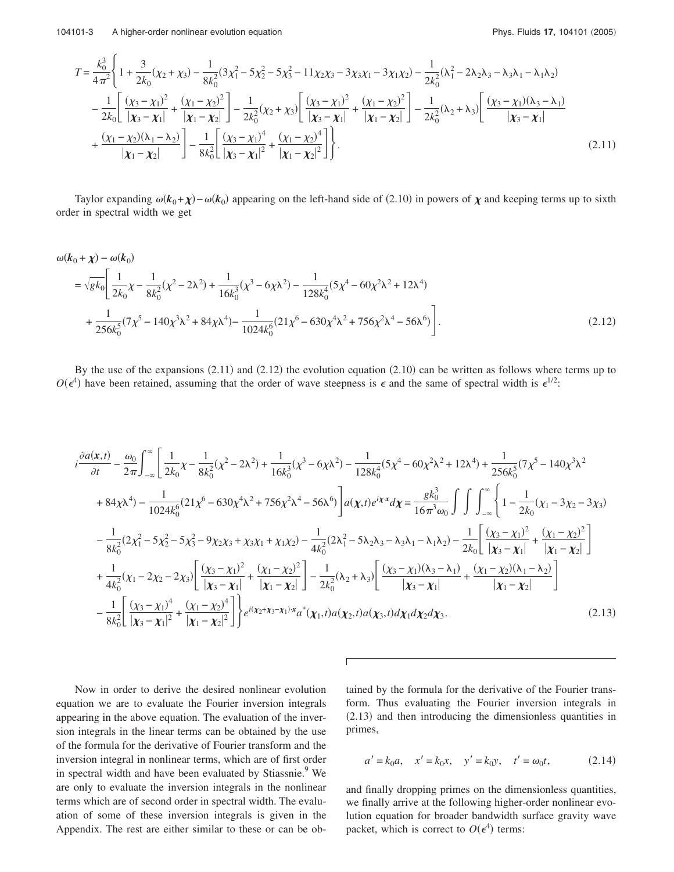$$
T = \frac{k_0^3}{4\pi^2} \left\{ 1 + \frac{3}{2k_0} (\chi_2 + \chi_3) - \frac{1}{8k_0^2} (3\chi_1^2 - 5\chi_2^2 - 5\chi_3^2 - 11\chi_2\chi_3 - 3\chi_3\chi_1 - 3\chi_1\chi_2) - \frac{1}{2k_0^2} (\lambda_1^2 - 2\lambda_2\lambda_3 - \lambda_3\lambda_1 - \lambda_1\lambda_2) - \frac{1}{2k_0} \left[ \frac{(\chi_3 - \chi_1)^2}{|\chi_3 - \chi_1|} + \frac{(\chi_1 - \chi_2)^2}{|\chi_1 - \chi_2|} \right] - \frac{1}{2k_0^2} (\chi_2 + \chi_3) \left[ \frac{(\chi_3 - \chi_1)^2}{|\chi_3 - \chi_1|} + \frac{(\chi_1 - \chi_2)^2}{|\chi_1 - \chi_2|} \right] - \frac{1}{2k_0^2} (\lambda_2 + \lambda_3) \left[ \frac{(\chi_3 - \chi_1)(\lambda_3 - \lambda_1)}{|\chi_3 - \chi_1|} + \frac{(\chi_1 - \chi_2)(\lambda_1 - \lambda_2)}{|\chi_1 - \chi_2|} \right] - \frac{1}{8k_0^2} \left[ \frac{(\chi_3 - \chi_1)^4}{|\chi_3 - \chi_1|^2} + \frac{(\chi_1 - \chi_2)^4}{|\chi_1 - \chi_2|^2} \right].
$$
\n(2.11)

Taylor expanding  $\omega(k_0+\chi)-\omega(k_0)$  appearing on the left-hand side of (2.10) in powers of  $\chi$  and keeping terms up to sixth order in spectral width we get

$$
\omega(\mathbf{k}_0 + \chi) - \omega(\mathbf{k}_0)
$$
  
=  $\sqrt{g k_0} \left[ \frac{1}{2k_0} \chi - \frac{1}{8k_0^2} (\chi^2 - 2\lambda^2) + \frac{1}{16k_0^3} (\chi^3 - 6\chi\lambda^2) - \frac{1}{128k_0^4} (5\chi^4 - 60\chi^2\lambda^2 + 12\lambda^4) + \frac{1}{256k_0^5} (7\chi^5 - 140\chi^3\lambda^2 + 84\chi\lambda^4) - \frac{1}{1024k_0^6} (21\chi^6 - 630\chi^4\lambda^2 + 756\chi^2\lambda^4 - 56\lambda^6) \right].$  (2.12)

By the use of the expansions  $(2.11)$  and  $(2.12)$  the evolution equation  $(2.10)$  can be written as follows where terms up to  $O(\epsilon^4)$  have been retained, assuming that the order of wave steepness is  $\epsilon$  and the same of spectral width is  $\epsilon^{1/2}$ .

$$
i\frac{\partial a(x,t)}{\partial t} - \frac{\omega_0}{2\pi} \int_{-\infty}^{\infty} \left[ \frac{1}{2k_0} \chi - \frac{1}{8k_0^2} (\chi^2 - 2\lambda^2) + \frac{1}{16k_0^3} (\chi^3 - 6\chi\lambda^2) - \frac{1}{128k_0^4} (5\chi^4 - 60\chi^2\lambda^2 + 12\lambda^4) + \frac{1}{256k_0^5} (7\chi^5 - 140\chi^3\lambda^2 + 84\chi\lambda^4) - \frac{1}{1024k_0^6} (21\chi^6 - 630\chi^4\lambda^2 + 756\chi^2\lambda^4 - 56\lambda^6) \right] a(\chi, t) e^{i\chi \cdot x} d\chi = \frac{g k_0^3}{16\pi^3 \omega_0} \int \int \int_{-\infty}^{\infty} \left\{ 1 - \frac{1}{2k_0} (\chi_1 - 3\chi_2 - 3\chi_3) - \frac{1}{8k_0^2} (2\chi_1^2 - 5\chi_2^2 - 5\chi_3^2 - 9\chi_2\chi_3 + \chi_3\chi_1 + \chi_1\chi_2) - \frac{1}{4k_0^2} (2\lambda_1^2 - 5\lambda_2\lambda_3 - \lambda_3\lambda_1 - \lambda_1\lambda_2) - \frac{1}{2k_0} \left[ \frac{(\chi_3 - \chi_1)^2}{|\chi_3 - \chi_1|} + \frac{(\chi_1 - \chi_2)^2}{|\chi_1 - \chi_2|} \right] + \frac{1}{4k_0^2} (\chi_1 - 2\chi_2 - 2\chi_3) \left[ \frac{(\chi_3 - \chi_1)^2}{|\chi_3 - \chi_1|} + \frac{(\chi_1 - \chi_2)^2}{|\chi_1 - \chi_2|} \right] - \frac{1}{2k_0^2} (\lambda_2 + \lambda_3) \left[ \frac{(\chi_3 - \chi_1)(\lambda_3 - \lambda_1)}{|\chi_3 - \chi_1|} + \frac{(\chi_1 - \chi_2)(\lambda_1 - \lambda_2)}{|\chi_1 - \chi_2|} \right]
$$
  
 
$$
- \frac{1}{8k_0^2} \left[ \frac{(\chi_3
$$

 $\Gamma$ 

Now in order to derive the desired nonlinear evolution equation we are to evaluate the Fourier inversion integrals appearing in the above equation. The evaluation of the inversion integrals in the linear terms can be obtained by the use of the formula for the derivative of Fourier transform and the inversion integral in nonlinear terms, which are of first order in spectral width and have been evaluated by Stiassnie.<sup>9</sup> We are only to evaluate the inversion integrals in the nonlinear terms which are of second order in spectral width. The evaluation of some of these inversion integrals is given in the Appendix. The rest are either similar to these or can be obtained by the formula for the derivative of the Fourier transform. Thus evaluating the Fourier inversion integrals in  $(2.13)$  and then introducing the dimensionless quantities in primes,

$$
a' = k_0 a
$$
,  $x' = k_0 x$ ,  $y' = k_0 y$ ,  $t' = \omega_0 t$ , (2.14)

and finally dropping primes on the dimensionless quantities, we finally arrive at the following higher-order nonlinear evolution equation for broader bandwidth surface gravity wave packet, which is correct to  $O(\epsilon^4)$  terms: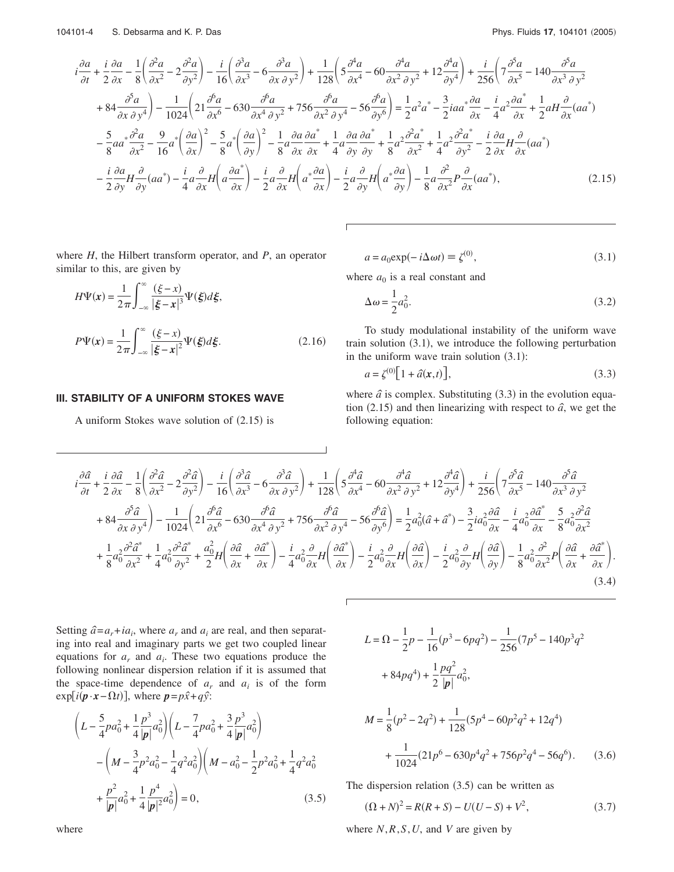$$
i\frac{\partial a}{\partial t} + \frac{i}{2}\frac{\partial a}{\partial x} - \frac{1}{8}\left(\frac{\partial^2 a}{\partial x^2} - 2\frac{\partial^2 a}{\partial y^2}\right) - \frac{i}{16}\left(\frac{\partial^3 a}{\partial x^3} - 6\frac{\partial^3 a}{\partial x \partial y^2}\right) + \frac{1}{128}\left(5\frac{\partial^4 a}{\partial x^4} - 60\frac{\partial^4 a}{\partial x^2 \partial y^2} + 12\frac{\partial^4 a}{\partial y^4}\right) + \frac{i}{256}\left(7\frac{\partial^5 a}{\partial x^5} - 140\frac{\partial^5 a}{\partial x^3 \partial y^2}\right) + 84\frac{\partial^5 a}{\partial x \partial y^4}\right) - \frac{1}{1024}\left(21\frac{\partial^6 a}{\partial x^6} - 630\frac{\partial^6 a}{\partial x^4 \partial y^2} + 756\frac{\partial^6 a}{\partial x^2 \partial y^4} - 56\frac{\partial^6 a}{\partial y^6}\right) = \frac{1}{2}a^2a^* - \frac{3}{2}iaa^*\frac{\partial a}{\partial x} - \frac{i}{4}a^2\frac{\partial a^*}{\partial x} + \frac{1}{2}aH\frac{\partial}{\partial x}(aa^*)\right) - \frac{5}{8}aa^*\frac{\partial^2 a}{\partial x^2} - \frac{9}{16}a^*\left(\frac{\partial a}{\partial x}\right)^2 - \frac{5}{8}a^*\left(\frac{\partial a}{\partial y}\right)^2 - \frac{1}{8}a^*\frac{\partial a}{\partial x}\frac{\partial a^*}{\partial x} + \frac{1}{4}a^*\frac{\partial a}{\partial y}\frac{\partial a^*}{\partial y} + \frac{1}{8}a^2\frac{\partial^2 a^*}{\partial x^2} + \frac{1}{4}a^2\frac{\partial^2 a^*}{\partial y^2} - \frac{i}{2}\frac{\partial a}{\partial x}H\frac{\partial}{\partial x}(aa^*)\right) - \frac{i}{2}\frac{\partial a}{\partial y}H\frac{\partial}{\partial y}(aa^*) - \frac{i}{4}a\frac{\partial}{\partial x}H\left(a\frac{\partial a^*}{\partial x}\right) - \frac{i}{2}a\frac{\partial}{\partial x}H\left(a^*\frac{\partial a}{
$$

where  $H$ , the Hilbert transform operator, and  $P$ , an operator similar to this, are given by

$$
H\Psi(x) = \frac{1}{2\pi} \int_{-\infty}^{\infty} \frac{(\xi - x)}{|\xi - x|^3} \Psi(\xi) d\xi,
$$
  

$$
P\Psi(x) = \frac{1}{2\pi} \int_{-\infty}^{\infty} \frac{(\xi - x)}{|\xi - x|^2} \Psi(\xi) d\xi.
$$
 (2.16)

#### $a = a_0 \exp(-i\Delta \omega t) \equiv \zeta^{(0)},$  $(3.1)$

where  $a_0$  is a real constant and

$$
\Delta \omega = \frac{1}{2} a_0^2. \tag{3.2}
$$

To study modulational instability of the uniform wave train solution  $(3.1)$ , we introduce the following perturbation in the uniform wave train solution  $(3.1)$ :

$$
a = \zeta^{(0)} \left[ 1 + \hat{a}(\mathbf{x}, t) \right],\tag{3.3}
$$

# III. STABILITY OF A UNIFORM STOKES WAVE

A uniform Stokes wave solution of  $(2.15)$  is

where  $\hat{a}$  is complex. Substituting (3.3) in the evolution equation (2.15) and then linearizing with respect to  $\hat{a}$ , we get the following equation:

$$
i\frac{\partial\hat{a}}{\partial t} + \frac{i}{2}\frac{\partial\hat{a}}{\partial x} - \frac{1}{8}\left(\frac{\partial^2\hat{a}}{\partial x^2} - 2\frac{\partial^2\hat{a}}{\partial y^2}\right) - \frac{i}{16}\left(\frac{\partial^3\hat{a}}{\partial x^3} - 6\frac{\partial^3\hat{a}}{\partial x \partial y^2}\right) + \frac{1}{128}\left(5\frac{\partial^4\hat{a}}{\partial x^4} - 60\frac{\partial^4\hat{a}}{\partial x^2 \partial y^2} + 12\frac{\partial^4\hat{a}}{\partial y^4}\right) + \frac{i}{256}\left(7\frac{\partial^5\hat{a}}{\partial x^5} - 140\frac{\partial^5\hat{a}}{\partial x^3 \partial y^2}\right) + 84\frac{\partial^5\hat{a}}{\partial x \partial y^4}\right) - \frac{1}{1024}\left(21\frac{\partial^6\hat{a}}{\partial x^6} - 630\frac{\partial^6\hat{a}}{\partial x^4 \partial y^2} + 756\frac{\partial^6\hat{a}}{\partial x^2 \partial y^4} - 56\frac{\partial^6\hat{a}}{\partial y^6}\right) = \frac{1}{2}a_0^2(\hat{a} + \hat{a}^*) - \frac{3}{2}ia_0^2\frac{\partial\hat{a}}{\partial x} - \frac{i}{4}a_0^2\frac{\partial\hat{a}^*}{\partial x} - \frac{5}{8}a_0^2\frac{\partial^2\hat{a}}{\partial x^2} + \frac{1}{8}a_0^2\frac{\partial^2\hat{a}^*}{\partial x^2} + \frac{1}{4}a_0^2\frac{\partial^2\hat{a}^*}{\partial y^2} + \frac{a_0^2}{2}H\left(\frac{\partial\hat{a}}{\partial x} + \frac{\partial\hat{a}^*}{\partial x}\right) - \frac{i}{4}a_0^2\frac{\partial}{\partial x}H\left(\frac{\partial\hat{a}^*}{\partial x}\right) - \frac{i}{2}a_0^2\frac{\partial}{\partial x}H\left(\frac{\partial\hat{a}}{\partial x}\right) - \frac{i}{2}a_0^2\frac{\partial}{\partial y}H\left(\frac{\partial\hat{a}}{\partial x}\right) - \frac{1}{2}a_0^
$$

Г

Setting  $\hat{a} = a_r + ia_i$ , where  $a_r$  and  $a_i$  are real, and then separating into real and imaginary parts we get two coupled linear equations for  $a_r$  and  $a_i$ . These two equations produce the following nonlinear dispersion relation if it is assumed that the space-time dependence of  $a_r$  and  $a_i$  is of the form  $\exp[i(\mathbf{p} \cdot \mathbf{x} - \Omega t)],$  where  $\mathbf{p} = p\hat{x} + q\hat{y}$ :

$$
\left(L - \frac{5}{4}p a_0^2 + \frac{1}{4} \frac{p^3}{|p|} a_0^2\right) \left(L - \frac{7}{4}p a_0^2 + \frac{3}{4} \frac{p^3}{|p|} a_0^2\right)
$$

$$
- \left(M - \frac{3}{4}p^2 a_0^2 - \frac{1}{4}q^2 a_0^2\right) \left(M - a_0^2 - \frac{1}{2}p^2 a_0^2 + \frac{1}{4}q^2 a_0^2\right)
$$

$$
+ \frac{p^2}{|p|} a_0^2 + \frac{1}{4} \frac{p^4}{|p|^2} a_0^2\right) = 0,
$$
(3.5)

$$
L = \Omega - \frac{1}{2}p - \frac{1}{16}(p^3 - 6pq^2) - \frac{1}{256}(7p^5 - 140p^3q^2 + 84pq^4) + \frac{1}{2}\frac{pq^2}{|p|}a_0^2,
$$

$$
M = \frac{1}{8}(p^2 - 2q^2) + \frac{1}{128}(5p^4 - 60p^2q^2 + 12q^4)
$$
  
+ 
$$
\frac{1}{1024}(21p^6 - 630p^4q^2 + 756p^2q^4 - 56q^6).
$$
 (3.6)

The dispersion relation  $(3.5)$  can be written as

$$
(\Omega + N)^2 = R(R + S) - U(U - S) + V^2,
$$
\n(3.7)

where  $N, R, S, U$ , and V are given by

where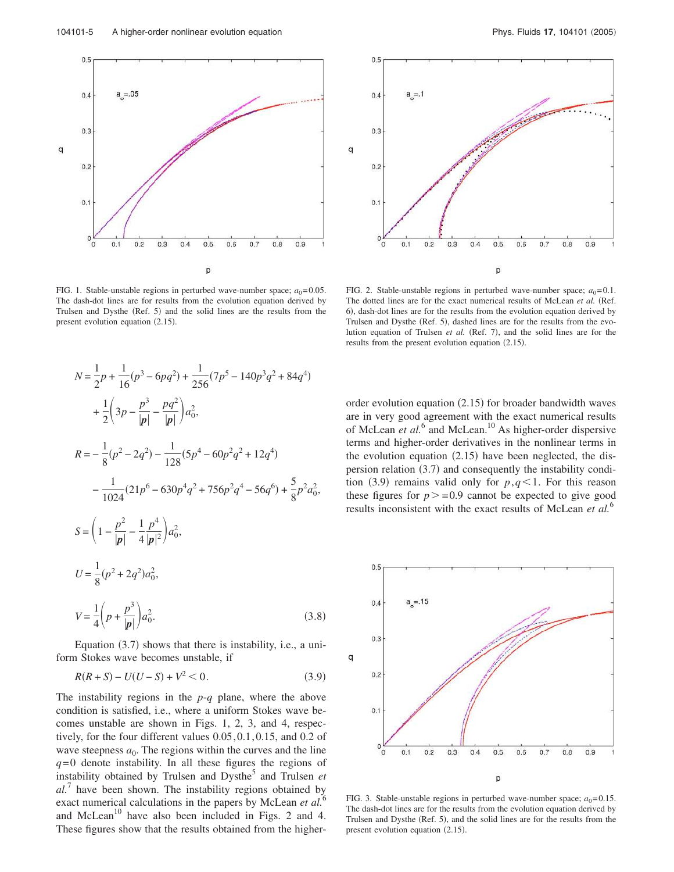



FIG. 1. Stable-unstable regions in perturbed wave-number space;  $a_0 = 0.05$ . The dash-dot lines are for results from the evolution equation derived by Trulsen and Dysthe (Ref. 5) and the solid lines are the results from the present evolution equation  $(2.15)$ .

FIG. 2. Stable-unstable regions in perturbed wave-number space;  $a_0 = 0.1$ . The dotted lines are for the exact numerical results of McLean et al. (Ref. 6), dash-dot lines are for the results from the evolution equation derived by Trulsen and Dysthe (Ref. 5), dashed lines are for the results from the evolution equation of Trulsen *et al.* (Ref. 7), and the solid lines are for the results from the present evolution equation  $(2.15)$ .

$$
N = \frac{1}{2}p + \frac{1}{16}(p^3 - 6pq^2) + \frac{1}{256}(7p^5 - 140p^3q^2 + 84q^4)
$$
  
+ 
$$
\frac{1}{2}\left(3p - \frac{p^3}{|p|} - \frac{pq^2}{|p|}\right)a_0^2,
$$
  

$$
R = -\frac{1}{8}(p^2 - 2q^2) - \frac{1}{128}(5p^4 - 60p^2q^2 + 12q^4)
$$
  
- 
$$
\frac{1}{1024}(21p^6 - 630p^4q^2 + 756p^2q^4 - 56q^6) + \frac{5}{8}p^2a_0^2,
$$
  

$$
S = \left(1 - \frac{p^2}{|p|} - \frac{1}{4}\frac{p^4}{|p|^2}\right)a_0^2,
$$
  

$$
U = \frac{1}{8}(p^2 + 2q^2)a_0^2,
$$
  

$$
V = \frac{1}{4}\left(p + \frac{p^3}{|p|}\right)a_0^2.
$$
 (3.8)

Equation (3.7) shows that there is instability, i.e., a uniform Stokes wave becomes unstable, if

$$
R(R+S) - U(U-S) + V^2 < 0.
$$
 (3.9)

The instability regions in the *p*-*q* plane, where the above condition is satisfied, i.e., where a uniform Stokes wave becomes unstable are shown in Figs. 1, 2, 3, and 4, respectively, for the four different values 0.05, 0.1, 0.15, and 0.2 of wave steepness  $a_0$ . The regions within the curves and the line  $q=0$  denote instability. In all these figures the regions of instability obtained by Trulsen and Dysthe<sup>5</sup> and Trulsen et *al.*<sup>7</sup> have been shown. The instability regions obtained by exact numerical calculations in the papers by McLean *et al.*<sup>6</sup> and McLean<sup>10</sup> have also been included in Figs. 2 and 4. These figures show that the results obtained from the higher-

order evolution equation (2.15) for broader bandwidth waves are in very good agreement with the exact numerical results of McLean *et al.*<sup>6</sup> and McLean.<sup>10</sup> As higher-order dispersive terms and higher-order derivatives in the nonlinear terms in the evolution equation  $(2.15)$  have been neglected, the dispersion relation (3.7) and consequently the instability condition (3.9) remains valid only for  $p, q<1$ . For this reason these figures for  $p > 0.9$  cannot be expected to give good results inconsistent with the exact results of McLean *et al.*<sup>6</sup>



FIG. 3. Stable-unstable regions in perturbed wave-number space;  $a_0 = 0.15$ . The dash-dot lines are for the results from the evolution equation derived by Trulsen and Dysthe (Ref. 5), and the solid lines are for the results from the present evolution equation (2.15).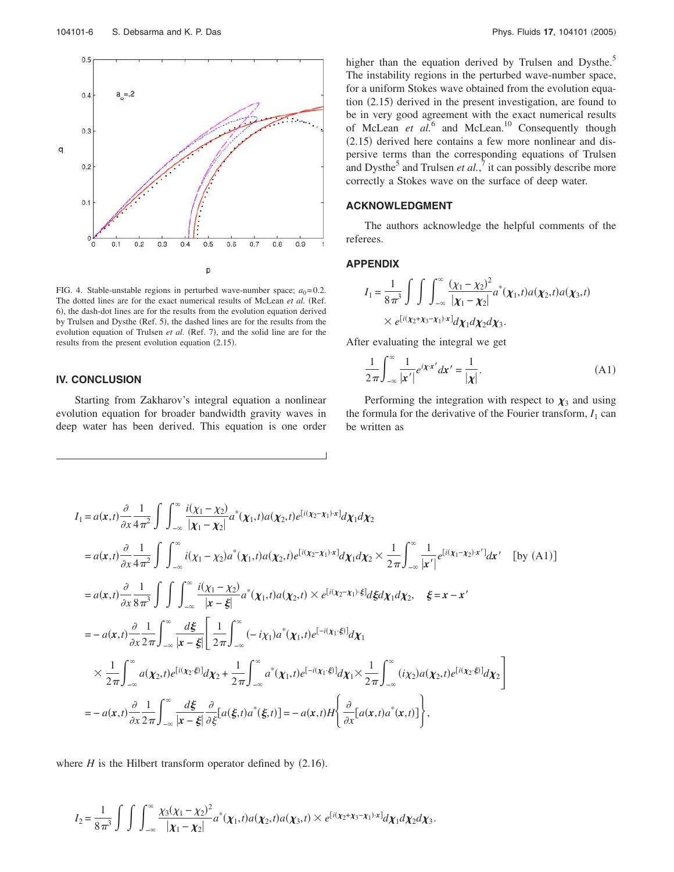

FIG. 4. Stable-unstable regions in perturbed wave-number space;  $a_0 = 0.2$ . The dotted lines are for the exact numerical results of McLean et al. (Ref. 6), the dash-dot lines are for the results from the evolution equation derived by Trulsen and Dysthe (Ref. 5), the dashed lines are for the results from the evolution equation of Trulsen *et al.* (Ref. 7), and the solid line are for the results from the present evolution equation  $(2.15)$ .

## **IV. CONCLUSION**

Starting from Zakharov's integral equation a nonlinear evolution equation for broader bandwidth gravity waves in deep water has been derived. This equation is one order higher than the equation derived by Trulsen and Dysthe.<sup>5</sup> The instability regions in the perturbed wave-number space, for a uniform Stokes wave obtained from the evolution equation (2.15) derived in the present investigation, are found to be in very good agreement with the exact numerical results of McLean *et al.*<sup>6</sup> and McLean.<sup>10</sup> Consequently though  $(2.15)$  derived here contains a few more nonlinear and dispersive terms than the corresponding equations of Trulsen and Dysthe<sup>5</sup> and Trulsen *et al.*, $\frac{7}{1}$  it can possibly describe more correctly a Stokes wave on the surface of deep water.

## **ACKNOWLEDGMENT**

The authors acknowledge the helpful comments of the referees.

#### **APPENDIX**

$$
I_1 = \frac{1}{8\pi^3} \int \int \int_{-\infty}^{\infty} \frac{(\chi_1 - \chi_2)^2}{|\chi_1 - \chi_2|} a^*(\chi_1, t) a(\chi_2, t) a(\chi_3, t)
$$
  
 
$$
\times e^{[i(\chi_2 + \chi_3 - \chi_1) \cdot x]} d\chi_1 d\chi_2 d\chi_3.
$$

After evaluating the integral we get

$$
\frac{1}{2\pi} \int_{-\infty}^{\infty} \frac{1}{|\mathbf{x}'|} e^{i\mathbf{x}\cdot\mathbf{x}'} d\mathbf{x}' = \frac{1}{|\mathbf{x}|}.
$$
 (A1)

Performing the integration with respect to  $\chi_3$  and using the formula for the derivative of the Fourier transform,  $I_1$  can be written as

$$
I_{1} = a(x,t) \frac{\partial}{\partial x} \frac{1}{4\pi^{2}} \int \int_{-\infty}^{\infty} \frac{i(\chi_{1} - \chi_{2})}{|\chi_{1} - \chi_{2}|} a^{*}(\chi_{1}, t) a(\chi_{2}, t) e^{[i(\chi_{2} - \chi_{1})x]} d\chi_{1} d\chi_{2}
$$
  
\n
$$
= a(x,t) \frac{\partial}{\partial x} \frac{1}{4\pi^{2}} \int \int_{-\infty}^{\infty} i(\chi_{1} - \chi_{2}) a^{*}(\chi_{1}, t) a(\chi_{2}, t) e^{[i(\chi_{2} - \chi_{1})x]} d\chi_{1} d\chi_{2} \times \frac{1}{2\pi} \int_{-\infty}^{\infty} \frac{1}{|x'|} e^{[i(\chi_{1} - \chi_{2})x']} dx' \quad \text{[by (A1)]}
$$
  
\n
$$
= a(x,t) \frac{\partial}{\partial x} \frac{1}{8\pi^{3}} \int \int \int_{-\infty}^{\infty} \frac{i(\chi_{1} - \chi_{2})}{|x - \xi|} a^{*}(\chi_{1}, t) a(\chi_{2}, t) \times e^{[i(\chi_{2} - \chi_{1}) \cdot \xi]} d\xi d\chi_{1} d\chi_{2}, \quad \xi = x - x'
$$
  
\n
$$
= -a(x,t) \frac{\partial}{\partial x} \frac{1}{2\pi} \int_{-\infty}^{\infty} \frac{d\xi}{|x - \xi|} \left[ \frac{1}{2\pi} \int_{-\infty}^{\infty} (-i\chi_{1}) a^{*}(\chi_{1}, t) e^{[-i(\chi_{1} \cdot \xi)]} d\chi_{1}
$$
  
\n
$$
\times \frac{1}{2\pi} \int_{-\infty}^{\infty} a(\chi_{2}, t) e^{[i(\chi_{2} \cdot \xi)]} d\chi_{2} + \frac{1}{2\pi} \int_{-\infty}^{\infty} a^{*}(\chi_{1}, t) e^{[-i(\chi_{1} \cdot \xi)]} d\chi_{1} \times \frac{1}{2\pi} \int_{-\infty}^{\infty} (i\chi_{2}) a(\chi_{2}, t) e^{[i(\chi_{2} \cdot \xi)]} d\chi_{2}
$$
  
\n
$$
= -a(x,t) \frac{\partial}{\partial x} \frac{
$$

where  $H$  is the Hilbert transform operator defined by  $(2.16)$ .

$$
I_2 = \frac{1}{8\pi^3} \int \int \int_{-\infty}^{\infty} \frac{\chi_3(\chi_1 - \chi_2)^2}{|\chi_1 - \chi_2|} a^*(\chi_1, t) a(\chi_2, t) a(\chi_3, t) \times e^{[i(\chi_2 + \chi_3 - \chi_1) \cdot x]} d\chi_1 d\chi_2 d\chi_3.
$$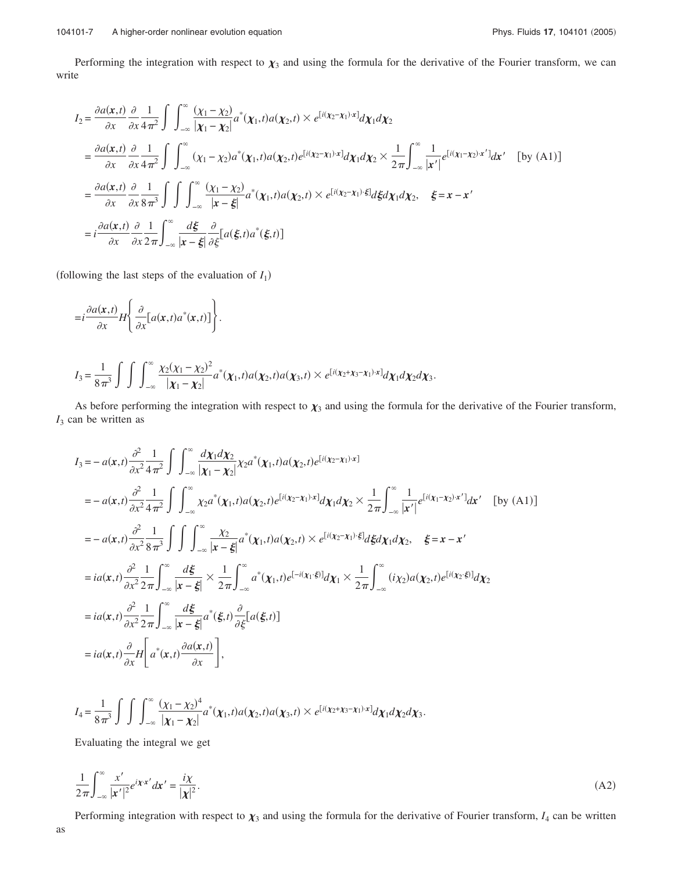Performing the integration with respect to  $\chi_3$  and using the formula for the derivative of the Fourier transform, we can write

$$
I_{2} = \frac{\partial a(x,t)}{\partial x} \frac{\partial}{\partial x} \frac{1}{4\pi^{2}} \int \int_{-\infty}^{\infty} \frac{(\chi_{1} - \chi_{2})}{|\chi_{1} - \chi_{2}|} a^{*}(\chi_{1}, t) a(\chi_{2}, t) \times e^{[\hat{i}(\chi_{2} - \chi_{1}) \cdot x]} d\chi_{1} d\chi_{2}
$$
  
\n
$$
= \frac{\partial a(x,t)}{\partial x} \frac{\partial}{\partial x} \frac{1}{4\pi^{2}} \int \int_{-\infty}^{\infty} (\chi_{1} - \chi_{2}) a^{*}(\chi_{1}, t) a(\chi_{2}, t) e^{[\hat{i}(\chi_{2} - \chi_{1}) \cdot x]} d\chi_{1} d\chi_{2} \times \frac{1}{2\pi} \int_{-\infty}^{\infty} \frac{1}{|x'|} e^{[\hat{i}(\chi_{1} - \chi_{2}) \cdot x']} dx' \quad \text{[by (A1)]}
$$
  
\n
$$
= \frac{\partial a(x,t)}{\partial x} \frac{\partial}{\partial x} \frac{1}{8\pi^{3}} \int \int \int_{-\infty}^{\infty} \frac{(\chi_{1} - \chi_{2})}{|x - \xi|} a^{*}(\chi_{1}, t) a(\chi_{2}, t) \times e^{[\hat{i}(\chi_{2} - \chi_{1}) \cdot \xi]} d\xi d\chi_{1} d\chi_{2}, \quad \xi = x - x'
$$
  
\n
$$
= \frac{\partial a(x,t)}{\partial x} \frac{\partial}{\partial x} \frac{1}{2\pi} \int_{-\infty}^{\infty} \frac{d\xi}{|x - \xi|} \frac{\partial}{\partial \xi} [a(\xi, t) a^{*}(\xi, t)]
$$

(following the last steps of the evaluation of  $I_1$ )

$$
=i\frac{\partial a(\mathbf{x},t)}{\partial x}H\left\{\frac{\partial}{\partial x}[\mathbf{a}(\mathbf{x},t)a^*(\mathbf{x},t)]\right\}.
$$
  

$$
I_3 = \frac{1}{8\pi^3}\int\int\int_{-\infty}^{\infty}\frac{\chi_2(\chi_1 - \chi_2)^2}{|\mathbf{x}_1 - \mathbf{x}_2|}a^*(\mathbf{x}_1,t)a(\mathbf{x}_2,t)a(\mathbf{x}_3,t) \times e^{[i(\chi_2 + \chi_3 - \chi_1)\cdot\mathbf{x}]}d\chi_1d\chi_2d\chi_3.
$$

As before performing the integration with respect to  $\chi_3$  and using the formula for the derivative of the Fourier transform, *I*<sup>3</sup> can be written as

$$
I_{3} = -a(x,t)\frac{\partial^{2}}{\partial x^{2}}\frac{1}{4\pi^{2}}\int\int_{-\infty}^{\infty}\frac{d\chi_{1}d\chi_{2}}{|\chi_{1} - \chi_{2}|}\chi_{2}a^{*}(\chi_{1},t)a(\chi_{2},t)e^{[i(\chi_{2}-\chi_{1})\cdot x]}
$$
\n
$$
= -a(x,t)\frac{\partial^{2}}{\partial x^{2}}\frac{1}{4\pi^{2}}\int\int_{-\infty}^{\infty}\chi_{2}a^{*}(\chi_{1},t)a(\chi_{2},t)e^{[i(\chi_{2}-\chi_{1})\cdot x]}d\chi_{1}d\chi_{2} \times \frac{1}{2\pi}\int_{-\infty}^{\infty}\frac{1}{|x'|}e^{[i(\chi_{1}-\chi_{2})\cdot x']}dx' \quad \text{[by (A1)]}
$$
\n
$$
= -a(x,t)\frac{\partial^{2}}{\partial x^{2}}\frac{1}{8\pi^{3}}\int\int\int_{-\infty}^{\infty}\frac{\chi_{2}}{|x-\xi|}a^{*}(\chi_{1},t)a(\chi_{2},t) \times e^{[i(\chi_{2}-\chi_{1})\cdot\xi]}d\xi d\chi_{1}d\chi_{2}, \quad \xi = x-x'
$$
\n
$$
= ia(x,t)\frac{\partial^{2}}{\partial x^{2}}\frac{1}{2\pi}\int_{-\infty}^{\infty}\frac{d\xi}{|x-\xi|} \times \frac{1}{2\pi}\int_{-\infty}^{\infty}a^{*}(\chi_{1},t)e^{[-i(\chi_{1}\cdot\xi)]}d\chi_{1} \times \frac{1}{2\pi}\int_{-\infty}^{\infty}(i\chi_{2})a(\chi_{2},t)e^{[i(\chi_{2}\cdot\xi)]}d\chi_{2}
$$
\n
$$
= ia(x,t)\frac{\partial^{2}}{\partial x^{2}}\frac{1}{2\pi}\int_{-\infty}^{\infty}\frac{d\xi}{|x-\xi|}a^{*}(\xi,t)\frac{\partial}{\partial\xi}[a(\xi,t)]
$$
\n
$$
= ia(x,t)\frac{\partial}{\partial x}H\left[a^{*}(x,t)\frac{\partial a(x,t)}{\partial x}\right],
$$

$$
I_4 = \frac{1}{8\pi^3} \int \int \int_{-\infty}^{\infty} \frac{(\chi_1 - \chi_2)^4}{|\chi_1 - \chi_2|} a^* (\chi_1, t) a(\chi_2, t) a(\chi_3, t) \times e^{[i(\chi_2 + \chi_3 - \chi_1) \cdot x]} d\chi_1 d\chi_2 d\chi_3.
$$

Evaluating the integral we get

$$
\frac{1}{2\pi} \int_{-\infty}^{\infty} \frac{x'}{|x'|^2} e^{i\chi \cdot x'} dx' = \frac{i\chi}{|\chi|^2}.
$$
\n(A2)

Performing integration with respect to  $\chi_3$  and using the formula for the derivative of Fourier transform,  $I_4$  can be written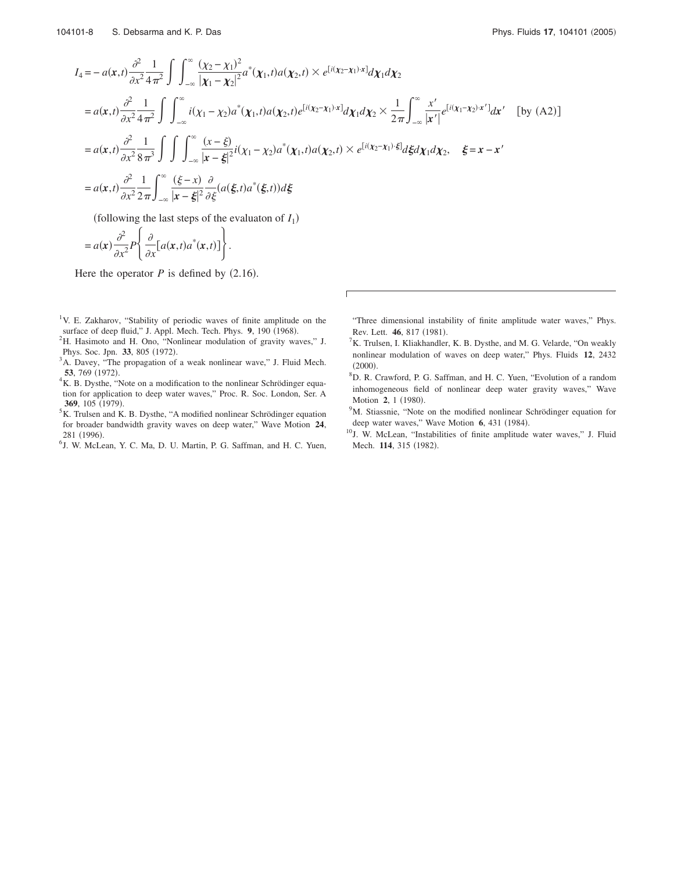$$
I_{4} = -a(x,t)\frac{\partial^{2}}{\partial x^{2}}\frac{1}{4\pi^{2}}\int\int_{-\infty}^{\infty}\frac{(\chi_{2} - \chi_{1})^{2}}{|\chi_{1} - \chi_{2}|^{2}}a^{*}(\chi_{1},t)a(\chi_{2},t) \times e^{[i(\chi_{2} - \chi_{1})\cdot x]}d\chi_{1}d\chi_{2}
$$
  
\n
$$
= a(x,t)\frac{\partial^{2}}{\partial x^{2}}\frac{1}{4\pi^{2}}\int\int_{-\infty}^{\infty}i(\chi_{1} - \chi_{2})a^{*}(\chi_{1},t)a(\chi_{2},t)e^{[i(\chi_{2} - \chi_{1})\cdot x]}d\chi_{1}d\chi_{2} \times \frac{1}{2\pi}\int_{-\infty}^{\infty}\frac{x'}{|x'|}e^{[i(\chi_{1} - \chi_{2})x']}dx' \quad \text{[by (A2)]}
$$
  
\n
$$
= a(x,t)\frac{\partial^{2}}{\partial x^{2}}\frac{1}{8\pi^{3}}\int\int\int_{-\infty}^{\infty}\frac{(x-\xi)}{|x-\xi|^{2}}i(\chi_{1} - \chi_{2})a^{*}(\chi_{1},t)a(\chi_{2},t) \times e^{[i(\chi_{2} - \chi_{1})\cdot\xi]}d\xi d\chi_{1}d\chi_{2}, \quad \xi = x - x'
$$
  
\n
$$
= a(x,t)\frac{\partial^{2}}{\partial x^{2}}\frac{1}{2\pi}\int_{-\infty}^{\infty}\frac{(\xi - x)}{|x-\xi|^{2}}\frac{\partial}{\partial\xi}(a(\xi,t)a^{*}(\xi,t))d\xi
$$

(following the last steps of the evaluaton of  $I_1$ )

$$
= a(\mathbf{x}) \frac{\partial^2}{\partial x^2} P\left\{\frac{\partial}{\partial x} [a(\mathbf{x},t) a^*(\mathbf{x},t)]\right\}.
$$

Here the operator  $P$  is defined by  $(2.16)$ .

- <sup>1</sup>V. E. Zakharov, "Stability of periodic waves of finite amplitude on the surface of deep fluid," J. Appl. Mech. Tech. Phys. 9, 190 (1968).
- <sup>2</sup>H. Hasimoto and H. Ono, "Nonlinear modulation of gravity waves," J. Phys. Soc. Jpn. 33, 805 (1972).
- <sup>3</sup>A. Davey, "The propagation of a weak nonlinear wave," J. Fluid Mech. **53**, 769 (1972).
- ${}^{4}$ K. B. Dysthe, "Note on a modification to the nonlinear Schrödinger equation for application to deep water waves," Proc. R. Soc. London, Ser. A 369, 105 (1979).
- ${}^{5}$ K. Trulsen and K. B. Dysthe, "A modified nonlinear Schrödinger equation for broader bandwidth gravity waves on deep water," Wave Motion **24**, 281 (1996).
- 6 J. W. McLean, Y. C. Ma, D. U. Martin, P. G. Saffman, and H. C. Yuen,

"Three dimensional instability of finite amplitude water waves," Phys. Rev. Lett. **46**, 817 (1981).

- ${}^{7}$ K. Trulsen, I. Kliakhandler, K. B. Dysthe, and M. G. Velarde, "On weakly nonlinear modulation of waves on deep water," Phys. Fluids **12**, 2432  $(2000).$
- <sup>8</sup>D. R. Crawford, P. G. Saffman, and H. C. Yuen, "Evolution of a random inhomogeneous field of nonlinear deep water gravity waves," Wave Motion 2, 1 (1980).
- <sup>9</sup>M. Stiassnie, "Note on the modified nonlinear Schrödinger equation for deep water waves," Wave Motion 6, 431 (1984).
- <sup>10</sup>J. W. McLean, "Instabilities of finite amplitude water waves," J. Fluid Mech. 114, 315 (1982).